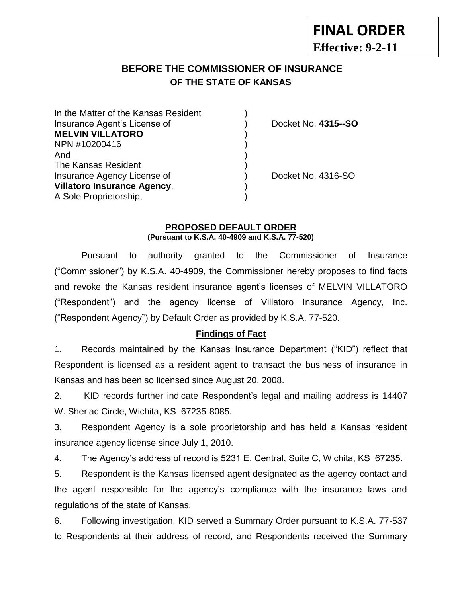**Effective: 9-2-11**

**FINAL ORDER**

# **BEFORE THE COMMISSIONER OF INSURANCE OF THE STATE OF KANSAS**

| In the Matter of the Kansas Resident |  |
|--------------------------------------|--|
| Insurance Agent's License of         |  |
| <b>MELVIN VILLATORO</b>              |  |
| NPN #10200416                        |  |
| And                                  |  |
| The Kansas Resident                  |  |
| Insurance Agency License of          |  |
| <b>Villatoro Insurance Agency,</b>   |  |
| A Sole Proprietorship,               |  |

**Docket No. 4315--SO** 

Docket No. 4316-SO

### **PROPOSED DEFAULT ORDER (Pursuant to K.S.A. 40-4909 and K.S.A. 77-520)**

Pursuant to authority granted to the Commissioner of Insurance ("Commissioner") by K.S.A. 40-4909, the Commissioner hereby proposes to find facts and revoke the Kansas resident insurance agent's licenses of MELVIN VILLATORO ("Respondent") and the agency license of Villatoro Insurance Agency, Inc. ("Respondent Agency") by Default Order as provided by K.S.A. 77-520.

### **Findings of Fact**

1. Records maintained by the Kansas Insurance Department ("KID") reflect that Respondent is licensed as a resident agent to transact the business of insurance in Kansas and has been so licensed since August 20, 2008.

2. KID records further indicate Respondent's legal and mailing address is 14407 W. Sheriac Circle, Wichita, KS 67235-8085.

3. Respondent Agency is a sole proprietorship and has held a Kansas resident insurance agency license since July 1, 2010.

4. The Agency's address of record is 5231 E. Central, Suite C, Wichita, KS 67235.

5. Respondent is the Kansas licensed agent designated as the agency contact and the agent responsible for the agency's compliance with the insurance laws and regulations of the state of Kansas.

6. Following investigation, KID served a Summary Order pursuant to K.S.A. 77-537 to Respondents at their address of record, and Respondents received the Summary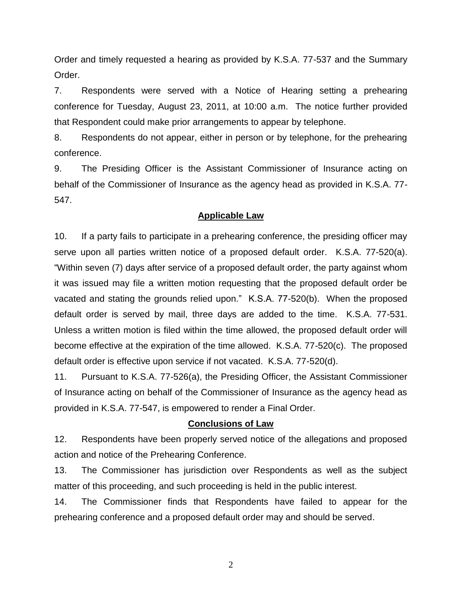Order and timely requested a hearing as provided by K.S.A. 77-537 and the Summary Order.

7. Respondents were served with a Notice of Hearing setting a prehearing conference for Tuesday, August 23, 2011, at 10:00 a.m. The notice further provided that Respondent could make prior arrangements to appear by telephone.

8. Respondents do not appear, either in person or by telephone, for the prehearing conference.

9. The Presiding Officer is the Assistant Commissioner of Insurance acting on behalf of the Commissioner of Insurance as the agency head as provided in K.S.A. 77- 547.

### **Applicable Law**

10. If a party fails to participate in a prehearing conference, the presiding officer may serve upon all parties written notice of a proposed default order. K.S.A. 77-520(a). "Within seven (7) days after service of a proposed default order, the party against whom it was issued may file a written motion requesting that the proposed default order be vacated and stating the grounds relied upon." K.S.A. 77-520(b). When the proposed default order is served by mail, three days are added to the time. K.S.A. 77-531. Unless a written motion is filed within the time allowed, the proposed default order will become effective at the expiration of the time allowed. K.S.A. 77-520(c). The proposed default order is effective upon service if not vacated. K.S.A. 77-520(d).

11. Pursuant to K.S.A. 77-526(a), the Presiding Officer, the Assistant Commissioner of Insurance acting on behalf of the Commissioner of Insurance as the agency head as provided in K.S.A. 77-547, is empowered to render a Final Order.

#### **Conclusions of Law**

12. Respondents have been properly served notice of the allegations and proposed action and notice of the Prehearing Conference.

13. The Commissioner has jurisdiction over Respondents as well as the subject matter of this proceeding, and such proceeding is held in the public interest.

14. The Commissioner finds that Respondents have failed to appear for the prehearing conference and a proposed default order may and should be served.

2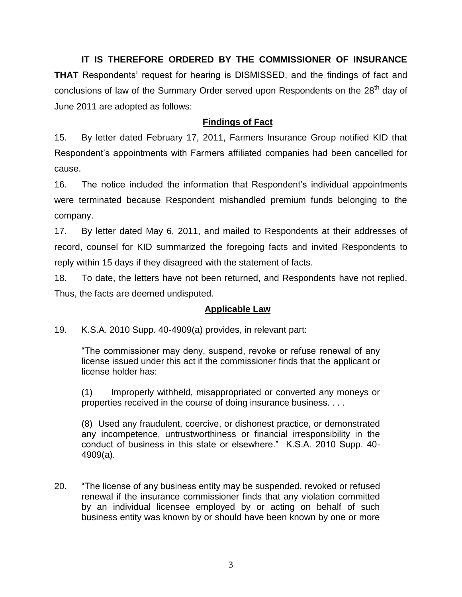**IT IS THEREFORE ORDERED BY THE COMMISSIONER OF INSURANCE** 

**THAT** Respondents' request for hearing is DISMISSED, and the findings of fact and conclusions of law of the Summary Order served upon Respondents on the 28<sup>th</sup> day of June 2011 are adopted as follows:

## **Findings of Fact**

15. By letter dated February 17, 2011, Farmers Insurance Group notified KID that Respondent's appointments with Farmers affiliated companies had been cancelled for cause.

16. The notice included the information that Respondent's individual appointments were terminated because Respondent mishandled premium funds belonging to the company.

17. By letter dated May 6, 2011, and mailed to Respondents at their addresses of record, counsel for KID summarized the foregoing facts and invited Respondents to reply within 15 days if they disagreed with the statement of facts.

18. To date, the letters have not been returned, and Respondents have not replied. Thus, the facts are deemed undisputed.

## **Applicable Law**

19. K.S.A. 2010 Supp. 40-4909(a) provides, in relevant part:

"The commissioner may deny, suspend, revoke or refuse renewal of any license issued under this act if the commissioner finds that the applicant or license holder has:

(1) Improperly withheld, misappropriated or converted any moneys or properties received in the course of doing insurance business. . . .

(8) Used any fraudulent, coercive, or dishonest practice, or demonstrated any incompetence, untrustworthiness or financial irresponsibility in the conduct of business in this state or elsewhere." K.S.A. 2010 Supp. 40- 4909(a).

20. "The license of any business entity may be suspended, revoked or refused renewal if the insurance commissioner finds that any violation committed by an individual licensee employed by or acting on behalf of such business entity was known by or should have been known by one or more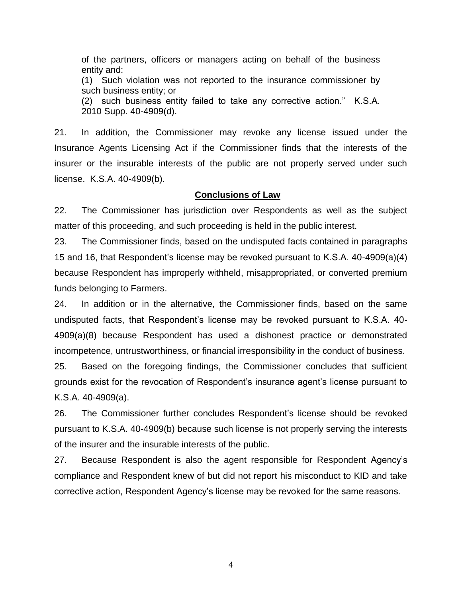of the partners, officers or managers acting on behalf of the business entity and: (1) Such violation was not reported to the insurance commissioner by such business entity; or (2) such business entity failed to take any corrective action." K.S.A. 2010 Supp. 40-4909(d).

21. In addition, the Commissioner may revoke any license issued under the Insurance Agents Licensing Act if the Commissioner finds that the interests of the insurer or the insurable interests of the public are not properly served under such license. K.S.A. 40-4909(b).

### **Conclusions of Law**

22. The Commissioner has jurisdiction over Respondents as well as the subject matter of this proceeding, and such proceeding is held in the public interest.

23. The Commissioner finds, based on the undisputed facts contained in paragraphs 15 and 16, that Respondent's license may be revoked pursuant to K.S.A. 40-4909(a)(4) because Respondent has improperly withheld, misappropriated, or converted premium funds belonging to Farmers.

24. In addition or in the alternative, the Commissioner finds, based on the same undisputed facts, that Respondent's license may be revoked pursuant to K.S.A. 40- 4909(a)(8) because Respondent has used a dishonest practice or demonstrated incompetence, untrustworthiness, or financial irresponsibility in the conduct of business.

25. Based on the foregoing findings, the Commissioner concludes that sufficient grounds exist for the revocation of Respondent's insurance agent's license pursuant to K.S.A. 40-4909(a).

26. The Commissioner further concludes Respondent's license should be revoked pursuant to K.S.A. 40-4909(b) because such license is not properly serving the interests of the insurer and the insurable interests of the public.

27. Because Respondent is also the agent responsible for Respondent Agency's compliance and Respondent knew of but did not report his misconduct to KID and take corrective action, Respondent Agency's license may be revoked for the same reasons.

4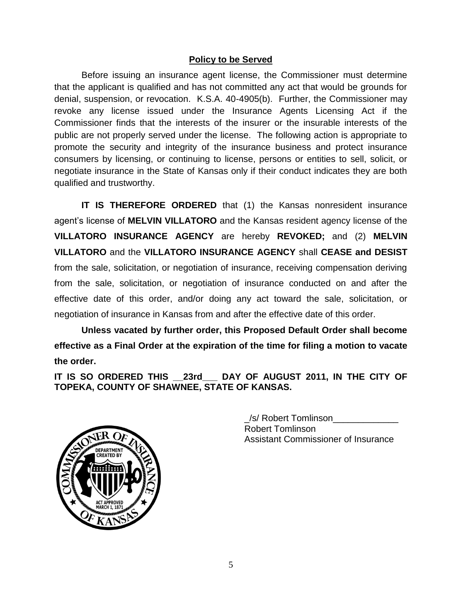### **Policy to be Served**

Before issuing an insurance agent license, the Commissioner must determine that the applicant is qualified and has not committed any act that would be grounds for denial, suspension, or revocation. K.S.A. 40-4905(b). Further, the Commissioner may revoke any license issued under the Insurance Agents Licensing Act if the Commissioner finds that the interests of the insurer or the insurable interests of the public are not properly served under the license. The following action is appropriate to promote the security and integrity of the insurance business and protect insurance consumers by licensing, or continuing to license, persons or entities to sell, solicit, or negotiate insurance in the State of Kansas only if their conduct indicates they are both qualified and trustworthy.

**IT IS THEREFORE ORDERED** that (1) the Kansas nonresident insurance agent's license of **MELVIN VILLATORO** and the Kansas resident agency license of the **VILLATORO INSURANCE AGENCY** are hereby **REVOKED;** and (2) **MELVIN VILLATORO** and the **VILLATORO INSURANCE AGENCY** shall **CEASE and DESIST** from the sale, solicitation, or negotiation of insurance, receiving compensation deriving from the sale, solicitation, or negotiation of insurance conducted on and after the effective date of this order, and/or doing any act toward the sale, solicitation, or negotiation of insurance in Kansas from and after the effective date of this order.

**Unless vacated by further order, this Proposed Default Order shall become effective as a Final Order at the expiration of the time for filing a motion to vacate the order.**

**IT IS SO ORDERED THIS \_\_23rd\_\_\_ DAY OF AUGUST 2011, IN THE CITY OF TOPEKA, COUNTY OF SHAWNEE, STATE OF KANSAS.**



\_/s/ Robert Tomlinson\_\_\_\_\_\_\_\_\_\_\_\_\_ Robert Tomlinson Assistant Commissioner of Insurance